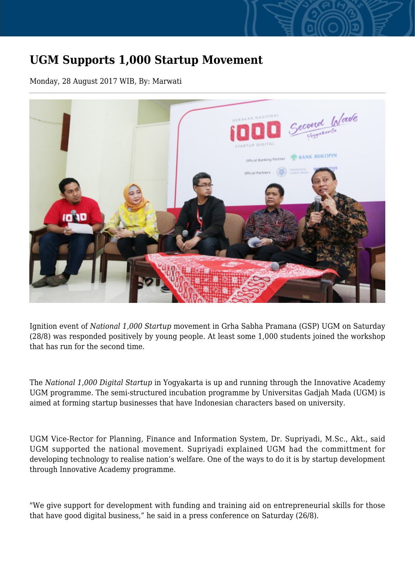## **UGM Supports 1,000 Startup Movement**

Monday, 28 August 2017 WIB, By: Marwati



Ignition event of *National 1,000 Startup* movement in Grha Sabha Pramana (GSP) UGM on Saturday (28/8) was responded positively by young people. At least some 1,000 students joined the workshop that has run for the second time.

The *National 1,000 Digital Startup* in Yogyakarta is up and running through the Innovative Academy UGM programme. The semi-structured incubation programme by Universitas Gadjah Mada (UGM) is aimed at forming startup businesses that have Indonesian characters based on university.

UGM Vice-Rector for Planning, Finance and Information System, Dr. Supriyadi, M.Sc., Akt., said UGM supported the national movement. Supriyadi explained UGM had the committment for developing technology to realise nation's welfare. One of the ways to do it is by startup development through Innovative Academy programme.

"We give support for development with funding and training aid on entrepreneurial skills for those that have good digital business," he said in a press conference on Saturday (26/8).